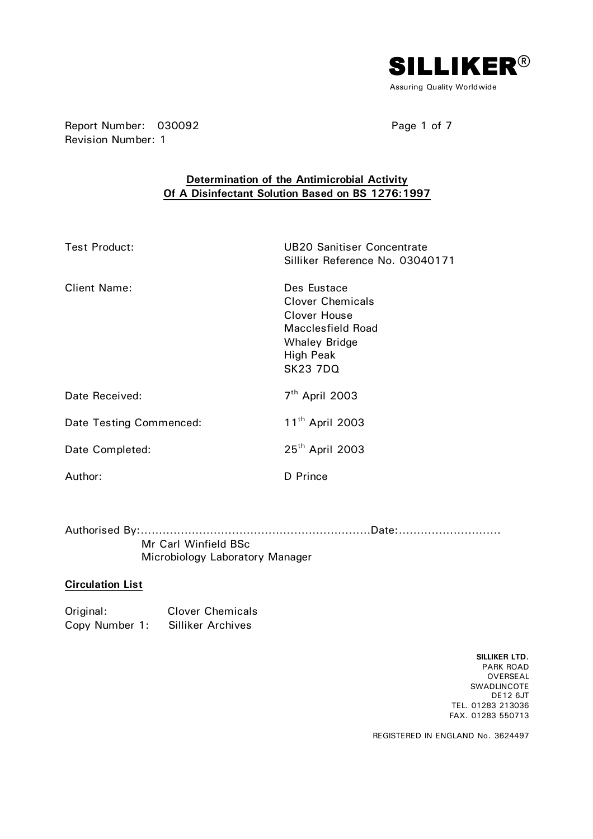

Report Number: 030092 Page 1 of 7 Revision Number: 1

## **Determination of the Antimicrobial Activity Of A Disinfectant Solution Based on BS 1276:1997**

| <b>Test Product:</b>    | <b>UB20 Sanitiser Concentrate</b><br>Silliker Reference No. 03040171                                                                |
|-------------------------|-------------------------------------------------------------------------------------------------------------------------------------|
| <b>Client Name:</b>     | Des Eustace<br><b>Clover Chemicals</b><br>Clover House<br>Macclesfield Road<br><b>Whaley Bridge</b><br>High Peak<br><b>SK23 7DQ</b> |
| Date Received:          | $7th$ April 2003                                                                                                                    |
| Date Testing Commenced: | 11 <sup>th</sup> April 2003                                                                                                         |
| Date Completed:         | 25 <sup>th</sup> April 2003                                                                                                         |
| Author:                 | D Prince                                                                                                                            |

Authorised By:………………………………………………………Date:……………………….

 Mr Carl Winfield BSc Microbiology Laboratory Manager

#### **Circulation List**

Original: Clover Chemicals Copy Number 1: Silliker Archives

> **SILLIKER LTD.**  PARK ROAD OVERSEAL SWADLINCOTE DE12 6JT TEL. 01283 213036 FAX. 01283 550713

REGISTERED IN ENGLAND No. 3624497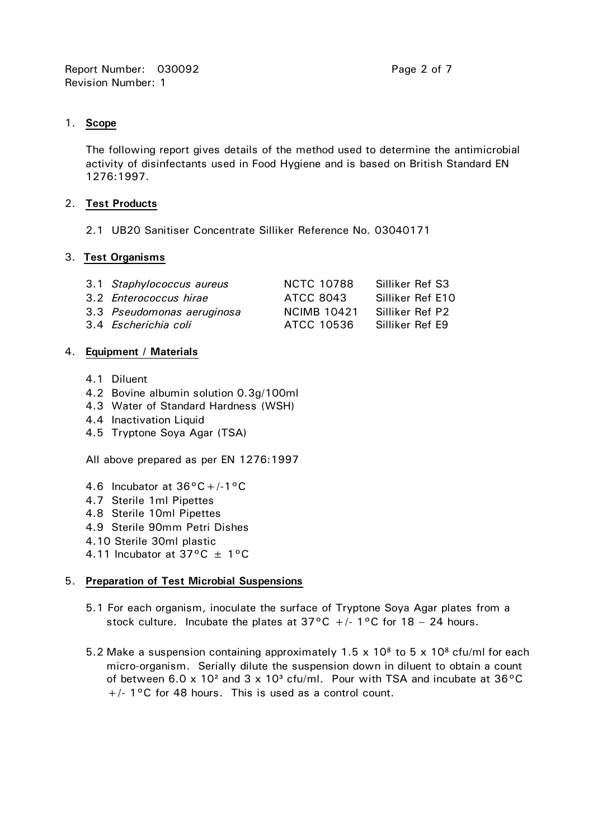## 1. **Scope**

 The following report gives details of the method used to determine the antimicrobial activity of disinfectants used in Food Hygiene and is based on British Standard EN 1276:1997.

## 2. **Test Products**

2.1 UB20 Sanitiser Concentrate Silliker Reference No. 03040171

## 3. **Test Organisms**

| 3.1 Staphylococcus aureus  | <b>NCTC 10788</b>  | Silliker Ref S3  |
|----------------------------|--------------------|------------------|
| 3.2 Enterococcus hirae     | ATCC 8043          | Silliker Ref E10 |
| 3.3 Pseudomonas aeruginosa | <b>NCIMB 10421</b> | Silliker Ref P2  |
| 3.4 Escherichia coli       | ATCC 10536         | Silliker Ref E9  |

## 4. **Equipment / Materials**

- 4.1 Diluent
- 4.2 Bovine albumin solution 0.3g/100ml
- 4.3 Water of Standard Hardness (WSH)
- 4.4 Inactivation Liquid
- 4.5 Tryptone Soya Agar (TSA)

All above prepared as per EN 1276:1997

- 4.6 Incubator at 36°C+/-1°C
- 4.7 Sterile 1ml Pipettes
- 4.8 Sterile 10ml Pipettes
- 4.9 Sterile 90mm Petri Dishes
- 4.10 Sterile 30ml plastic
- 4.11 Incubator at  $37^{\circ}$ C  $\pm$  1°C

# 5. **Preparation of Test Microbial Suspensions**

- 5.1 For each organism, inoculate the surface of Tryptone Soya Agar plates from a stock culture. Incubate the plates at  $37^{\circ}$ C +/- 1°C for 18 - 24 hours.
- 5.2 Make a suspension containing approximately 1.5 x 10 $8$  to 5 x 10 $8$  cfu/ml for each micro-organism. Serially dilute the suspension down in diluent to obtain a count of between 6.0 x 10<sup>2</sup> and 3 x 10<sup>3</sup> cfu/ml. Pour with TSA and incubate at  $36^{\circ}$ C  $+/-$  1°C for 48 hours. This is used as a control count.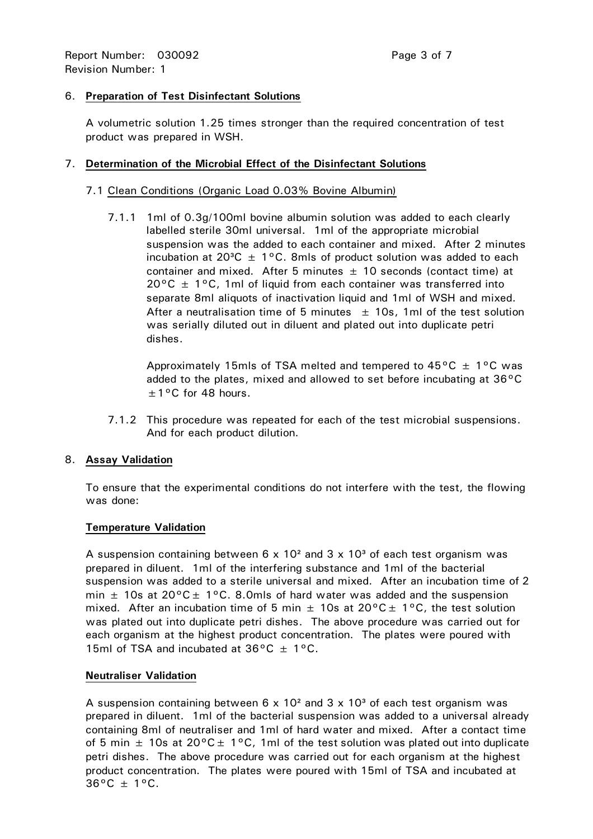## 6. **Preparation of Test Disinfectant Solutions**

 A volumetric solution 1.25 times stronger than the required concentration of test product was prepared in WSH.

## 7. **Determination of the Microbial Effect of the Disinfectant Solutions**

## 7.1 Clean Conditions (Organic Load 0.03% Bovine Albumin)

 7.1.1 1ml of 0.3g/100ml bovine albumin solution was added to each clearly labelled sterile 30ml universal. 1ml of the appropriate microbial suspension was the added to each container and mixed. After 2 minutes incubation at 20 $^3C \pm 1^{\circ}C$ . 8mls of product solution was added to each container and mixed. After 5 minutes  $\pm$  10 seconds (contact time) at  $20^{\circ}$ C  $\pm$  1°C, 1ml of liquid from each container was transferred into separate 8ml aliquots of inactivation liquid and 1ml of WSH and mixed. After a neutralisation time of 5 minutes  $\pm$  10s, 1ml of the test solution was serially diluted out in diluent and plated out into duplicate petri dishes.

Approximately 15mls of TSA melted and tempered to  $45^{\circ}$ C  $\pm$  1°C was added to the plates, mixed and allowed to set before incubating at 36°C  $\pm$  1°C for 48 hours.

 7.1.2 This procedure was repeated for each of the test microbial suspensions. And for each product dilution.

## 8. **Assay Validation**

 To ensure that the experimental conditions do not interfere with the test, the flowing was done:

## **Temperature Validation**

A suspension containing between  $6 \times 10^2$  and  $3 \times 10^3$  of each test organism was prepared in diluent. 1ml of the interfering substance and 1ml of the bacterial suspension was added to a sterile universal and mixed. After an incubation time of 2 min  $\pm$  10s at 20°C $\pm$  1°C. 8.0mls of hard water was added and the suspension mixed. After an incubation time of 5 min  $\pm$  10s at 20°C  $\pm$  1°C, the test solution was plated out into duplicate petri dishes. The above procedure was carried out for each organism at the highest product concentration. The plates were poured with 15ml of TSA and incubated at  $36^{\circ}$ C  $\pm$  1°C.

## **Neutraliser Validation**

A suspension containing between  $6 \times 10^2$  and  $3 \times 10^3$  of each test organism was prepared in diluent. 1ml of the bacterial suspension was added to a universal already containing 8ml of neutraliser and 1ml of hard water and mixed. After a contact time of 5 min  $\pm$  10s at 20°C  $\pm$  1°C, 1ml of the test solution was plated out into duplicate petri dishes. The above procedure was carried out for each organism at the highest product concentration. The plates were poured with 15ml of TSA and incubated at  $36^{\circ}$ C  $\pm$  1°C.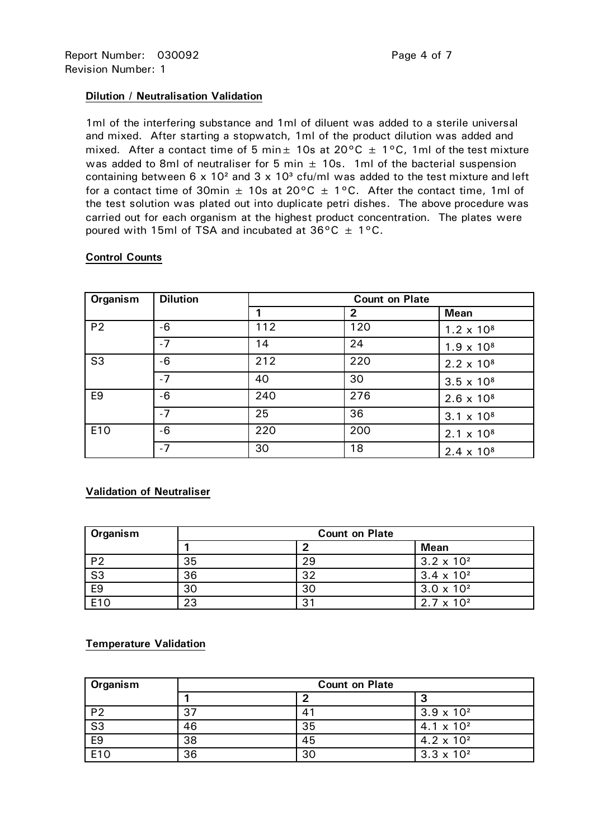#### **Dilution / Neutralisation Validation**

 1ml of the interfering substance and 1ml of diluent was added to a sterile universal and mixed. After starting a stopwatch, 1ml of the product dilution was added and mixed. After a contact time of 5 min $\pm$  10s at 20°C  $\pm$  1°C, 1ml of the test mixture was added to 8ml of neutraliser for 5 min  $\pm$  10s. 1ml of the bacterial suspension containing between  $6 \times 10^2$  and  $3 \times 10^3$  cfu/ml was added to the test mixture and left for a contact time of 30min  $\pm$  10s at 20°C  $\pm$  1°C. After the contact time, 1ml of the test solution was plated out into duplicate petri dishes. The above procedure was carried out for each organism at the highest product concentration. The plates were poured with 15ml of TSA and incubated at  $36^{\circ}$ C  $\pm$  1°C.

| Organism       | <b>Dilution</b> | <b>Count on Plate</b> |                |                     |  |  |  |  |  |  |
|----------------|-----------------|-----------------------|----------------|---------------------|--|--|--|--|--|--|
|                |                 |                       | $\overline{2}$ | <b>Mean</b>         |  |  |  |  |  |  |
| P <sub>2</sub> | -6              | 112                   | 120            | $1.2 \times 10^8$   |  |  |  |  |  |  |
|                | $-7$            | 14                    | 24             | $1.9 \times 10^{8}$ |  |  |  |  |  |  |
| S <sub>3</sub> | -6              | 212                   | 220            | $2.2 \times 10^8$   |  |  |  |  |  |  |
|                | $-7$            | 40                    | 30             | $3.5 \times 10^8$   |  |  |  |  |  |  |
| E <sub>9</sub> | -6              | 240                   | 276            | $2.6 \times 10^8$   |  |  |  |  |  |  |
|                | $-7$            | 25                    | 36             | $3.1 \times 10^8$   |  |  |  |  |  |  |
| E10            | -6              |                       | 200            | $2.1 \times 10^8$   |  |  |  |  |  |  |
|                | $-7$            | 30                    | 18             | $2.4 \times 10^8$   |  |  |  |  |  |  |

#### **Control Counts**

## **Validation of Neutraliser**

| Organism       | <b>Count on Plate</b> |    |                     |  |  |  |  |  |  |  |
|----------------|-----------------------|----|---------------------|--|--|--|--|--|--|--|
|                |                       | ີ  | <b>Mean</b>         |  |  |  |  |  |  |  |
| P <sub>2</sub> | 35                    | 29 | $3.2 \times 10^{2}$ |  |  |  |  |  |  |  |
| S <sub>3</sub> | 36                    | 32 | $3.4 \times 10^{2}$ |  |  |  |  |  |  |  |
| E <sub>9</sub> | 30                    | 30 | $3.0 \times 10^{2}$ |  |  |  |  |  |  |  |
| E10            | 23                    | 31 | $2.7 \times 10^{2}$ |  |  |  |  |  |  |  |

## **Temperature Validation**

| Organism               | <b>Count on Plate</b> |    |                     |  |  |  |  |  |  |  |
|------------------------|-----------------------|----|---------------------|--|--|--|--|--|--|--|
|                        |                       |    | J                   |  |  |  |  |  |  |  |
| P <sub>2</sub>         | 37                    |    | $3.9 \times 10^{2}$ |  |  |  |  |  |  |  |
| $\overline{\text{S3}}$ | 46                    | 35 | $4.1 \times 10^{2}$ |  |  |  |  |  |  |  |
| E <sub>9</sub>         | 38                    | 45 | $4.2 \times 10^{2}$ |  |  |  |  |  |  |  |
| E <sub>10</sub>        | 36                    | 30 | $3.3 \times 10^{2}$ |  |  |  |  |  |  |  |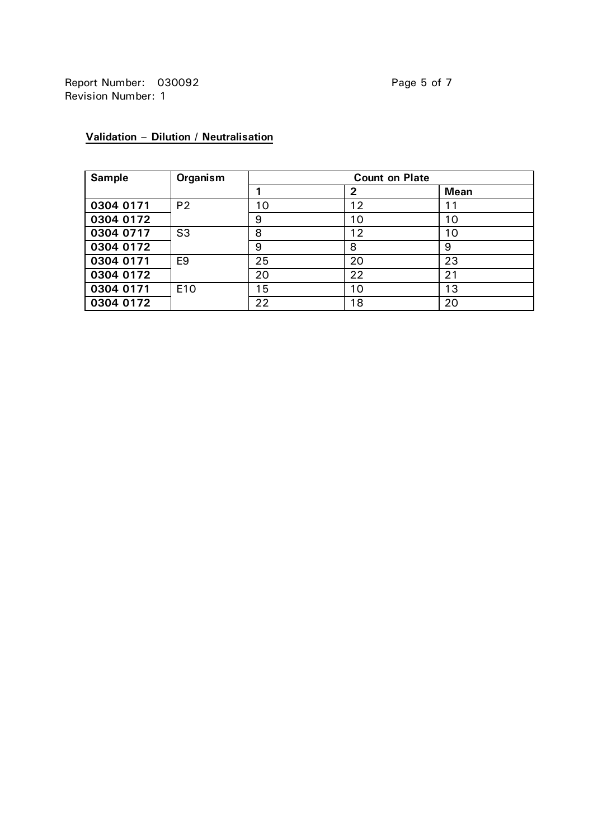| <b>Sample</b> | Organism       | <b>Count on Plate</b> |    |             |  |  |  |  |  |  |
|---------------|----------------|-----------------------|----|-------------|--|--|--|--|--|--|
|               |                |                       | 2  | <b>Mean</b> |  |  |  |  |  |  |
| 0304 0171     | P <sub>2</sub> | 10                    | 12 |             |  |  |  |  |  |  |
| 0304 0172     |                | 9                     | 10 | 10          |  |  |  |  |  |  |
| 0304 0717     | S <sub>3</sub> | 8                     | 12 | 10          |  |  |  |  |  |  |
| 0304 0172     |                | 9                     | 8  | 9           |  |  |  |  |  |  |
| 0304 0171     | E9             | 25                    | 20 | 23          |  |  |  |  |  |  |
| 0304 0172     |                | 20                    | 22 | 21          |  |  |  |  |  |  |
| 0304 0171     | E10            | 15                    | 10 | 13          |  |  |  |  |  |  |
| 0304 0172     |                | 22                    | 18 | 20          |  |  |  |  |  |  |

# **Validation – Dilution / Neutralisation**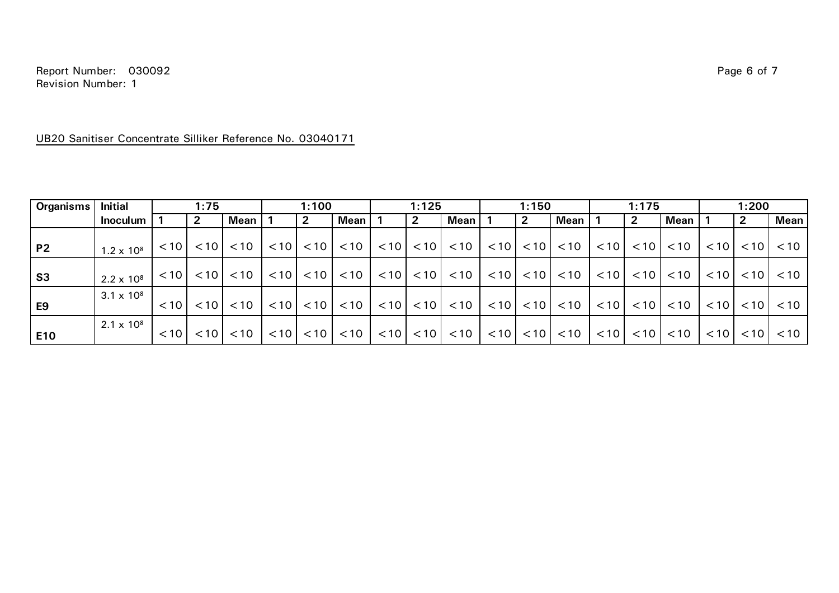Report Number: 030092 Page 6 of 7 Revision Number: 1

#### UB20 Sanitiser Concentrate Silliker Reference No. 03040171

| <b>Organisms</b> | <b>Initial</b>    |        | 1:75         |      | 1:100 |              | 1:125          |      | 1:150        |                                                | 1:175 |                       |                          | 1:200 |              |               |      |                   |      |
|------------------|-------------------|--------|--------------|------|-------|--------------|----------------|------|--------------|------------------------------------------------|-------|-----------------------|--------------------------|-------|--------------|---------------|------|-------------------|------|
|                  | <b>Inoculum</b>   |        | $\mathbf{2}$ | Mean |       | $\mathbf{2}$ | <b>Mean</b>    |      | $\mathbf{2}$ | Mean                                           |       | $\mathbf{2}$          | Mean                     |       | $\mathbf{2}$ | Mean          |      | 2                 | Mean |
| <b>P2</b>        | $1.2 \times 10^8$ | < 10   | < 10         | < 10 | < 10  | < 10         | < 10           | < 10 |              | $< 10$ $< 10$ $\vert$                          |       | $< 10$ $< 10$ $\vert$ | < 10                     | < 10  |              | $< 10$ $< 10$ | < 10 | $\leq 10$         | < 10 |
| S <sub>3</sub>   | $2.2 \times 10^8$ | < 10   | < 10         | < 10 | < 10  | < 10         | $<$ 10 $\vert$ |      |              | $\vert$ < 10 $\vert$ < 10 $\vert$ < 10 $\vert$ |       |                       | $ 10 $ < 10 $ $ < 10 $ $ | < 10  |              | $< 10$ $< 10$ | < 10 | $\leq 10$         | < 10 |
| E <sub>9</sub>   | $3.1 \times 10^8$ | $<$ 10 | < 10         | < 10 | < 10  | < 10         | < 10           | < 10 |              | $< 10$ $< 10$                                  |       | $< 10$ $< 10$ $\vert$ | < 10                     | < 10  | < 10         | < 10          | < 10 | < 10              | < 10 |
| E10              | $2.1 \times 10^8$ | $<$ 10 | < 10         | < 10 | < 10  | < 10         | < 10           | < 10 |              | $< 10$ $< 10$ $\vert$                          |       |                       | $ 10 $ < 10 $ $ < 10 $ $ | < 10  |              | $< 10$ $< 10$ | < 10 | < 10 <sub>1</sub> | < 10 |